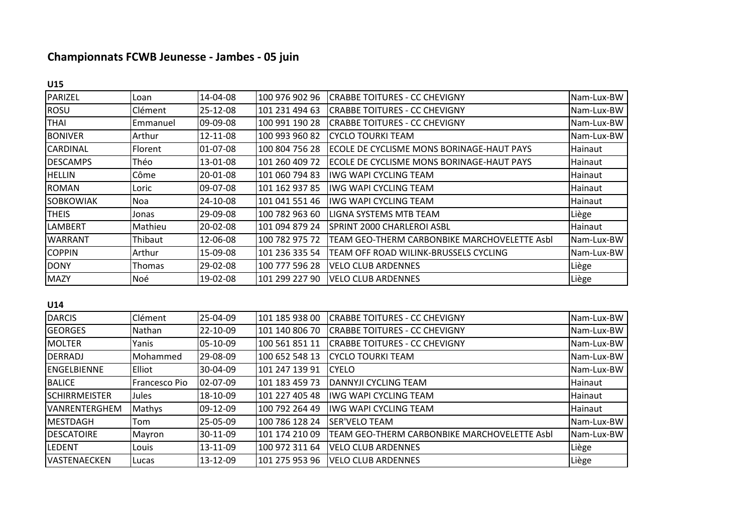## **Championnats FCWB Jeunesse - Jambes - 05 juin**

|--|

| PARIZEL          | Loan           | 14-04-08 | 100 976 902 96 | <b>CRABBE TOITURES - CC CHEVIGNY</b>         | Nam-Lux-BW |
|------------------|----------------|----------|----------------|----------------------------------------------|------------|
| <b>ROSU</b>      | Clément        | 25-12-08 | 101 231 494 63 | ICRABBE TOITURES - CC CHEVIGNY               | Nam-Lux-BW |
| <b>THAI</b>      | Emmanuel       | 09-09-08 | 100 991 190 28 | <b>CRABBE TOITURES - CC CHEVIGNY</b>         | Nam-Lux-BW |
| <b>BONIVER</b>   | Arthur         | 12-11-08 | 100 993 960 82 | ICYCLO TOURKI TEAM                           | Nam-Lux-BW |
| <b>CARDINAL</b>  | <b>Florent</b> | 01-07-08 | 100 804 756 28 | ECOLE DE CYCLISME MONS BORINAGE-HAUT PAYS    | Hainaut    |
| <b>DESCAMPS</b>  | Théo           | 13-01-08 | 101 260 409 72 | ECOLE DE CYCLISME MONS BORINAGE-HAUT PAYS    | Hainaut    |
| <b>HELLIN</b>    | Côme           | 20-01-08 | 101 060 794 83 | <b>IWG WAPI CYCLING TEAM</b>                 | Hainaut    |
| <b>ROMAN</b>     | Loric          | 09-07-08 | 101 162 937 85 | <b>IWG WAPI CYCLING TEAM</b>                 | Hainaut    |
| <b>SOBKOWIAK</b> | Noa            | 24-10-08 | 101 041 551 46 | <b>IWG WAPI CYCLING TEAM</b>                 | Hainaut    |
| <b>THEIS</b>     | Jonas          | 29-09-08 | 100 782 963 60 | LIGNA SYSTEMS MTB TEAM                       | Liège      |
| LAMBERT          | Mathieu        | 20-02-08 | 101 094 879 24 | SPRINT 2000 CHARLEROI ASBL                   | Hainaut    |
| <b>WARRANT</b>   | Thibaut        | 12-06-08 | 100 782 975 72 | TEAM GEO-THERM CARBONBIKE MARCHOVELETTE Asbl | Nam-Lux-BW |
| <b>COPPIN</b>    | Arthur         | 15-09-08 | 101 236 335 54 | TEAM OFF ROAD WILINK-BRUSSELS CYCLING        | Nam-Lux-BW |
| <b>DONY</b>      | Thomas         | 29-02-08 | 100 777 596 28 | <b>VELO CLUB ARDENNES</b>                    | Liège      |
| <b>MAZY</b>      | Noé            | 19-02-08 | 101 299 227 90 | <b>VELO CLUB ARDENNES</b>                    | Liège      |

## **U14**

| <b>DARCIS</b>         | Clément       | 25-04-09 | 101 185 938 00 | <b>CRABBE TOITURES - CC CHEVIGNY</b>         | Nam-Lux-BW |
|-----------------------|---------------|----------|----------------|----------------------------------------------|------------|
| <b>GEORGES</b>        | Nathan        | 22-10-09 | 101 140 806 70 | <b>CRABBE TOITURES - CC CHEVIGNY</b>         | Nam-Lux-BW |
| <b>MOLTER</b>         | Yanis         | 05-10-09 | 100 561 851 11 | <b>CRABBE TOITURES - CC CHEVIGNY</b>         | Nam-Lux-BW |
| DERRADJ               | Mohammed      | 29-08-09 | 100 652 548 13 | CYCLO TOURKI TEAM                            | Nam-Lux-BW |
| <b>ENGELBIENNE</b>    | <b>Elliot</b> | 30-04-09 | 101 247 139 91 | <b>CYELO</b>                                 | Nam-Lux-BW |
| <b>BALICE</b>         | Francesco Pio | 02-07-09 | 101 183 459 73 | IDANNYJI CYCLING TEAM                        | Hainaut    |
| <b>ISCHIRRMEISTER</b> | Jules         | 18-10-09 | 101 227 405 48 | liwg wapi cycling team                       | Hainaut    |
| <b>VANRENTERGHEM</b>  | Mathys        | 09-12-09 | 100 792 264 49 | liwg wapi cycling team                       | Hainaut    |
| <b>IMESTDAGH</b>      | Tom           | 25-05-09 | 100 786 128 24 | ISER'VELO TEAM                               | Nam-Lux-BW |
| <b>DESCATOIRE</b>     | Mayron        | 30-11-09 | 101 174 210 09 | TEAM GEO-THERM CARBONBIKE MARCHOVELETTE Asbl | Nam-Lux-BW |
| <b>LEDENT</b>         | Louis         | 13-11-09 | 100 972 311 64 | <b>VELO CLUB ARDENNES</b>                    | Liège      |
| <b>VASTENAECKEN</b>   | Lucas         | 13-12-09 | 101 275 953 96 | <b>VELO CLUB ARDENNES</b>                    | Liège      |